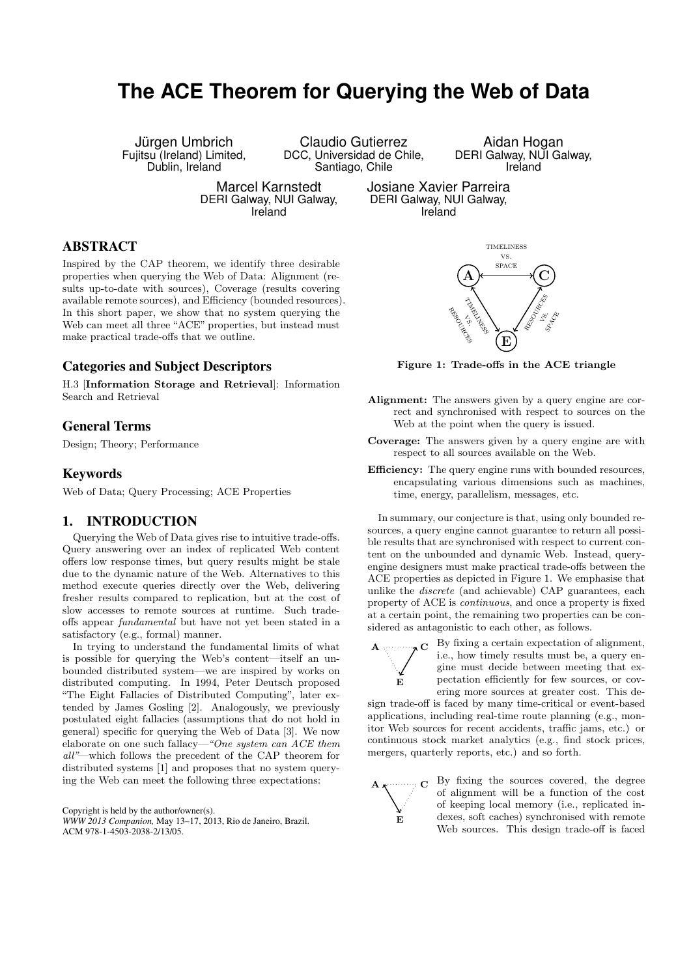# **The ACE Theorem for Querying the Web of Data**

Jürgen Umbrich Fujitsu (Ireland) Limited, Dublin, Ireland

Claudio Gutierrez DCC, Universidad de Chile, Santiago, Chile

Aidan Hogan DERI Galway, NUI Galway, Ireland

Marcel Karnstedt DERI Galway, NUI Galway, Ireland

Josiane Xavier Parreira DERI Galway, NUI Galway, Ireland

## ABSTRACT

Inspired by the CAP theorem, we identify three desirable properties when querying the Web of Data: Alignment (results up-to-date with sources), Coverage (results covering available remote sources), and Efficiency (bounded resources). In this short paper, we show that no system querying the Web can meet all three "ACE" properties, but instead must make practical trade-offs that we outline.

# Categories and Subject Descriptors

H.3 [Information Storage and Retrieval]: Information Search and Retrieval

# General Terms

Design; Theory; Performance

## Keywords

Web of Data; Query Processing; ACE Properties

## 1. INTRODUCTION

Querying the Web of Data gives rise to intuitive trade-offs. Query answering over an index of replicated Web content offers low response times, but query results might be stale due to the dynamic nature of the Web. Alternatives to this method execute queries directly over the Web, delivering fresher results compared to replication, but at the cost of slow accesses to remote sources at runtime. Such tradeoffs appear fundamental but have not yet been stated in a satisfactory (e.g., formal) manner.

In trying to understand the fundamental limits of what is possible for querying the Web's content—itself an unbounded distributed system—we are inspired by works on distributed computing. In 1994, Peter Deutsch proposed "The Eight Fallacies of Distributed Computing", later extended by James Gosling [2]. Analogously, we previously postulated eight fallacies (assumptions that do not hold in general) specific for querying the Web of Data [3]. We now elaborate on one such fallacy—"One system can ACE them all"—which follows the precedent of the CAP theorem for distributed systems [1] and proposes that no system querying the Web can meet the following three expectations:

Copyright is held by the author/owner(s). *WWW 2013 Companion,* May 13–17, 2013, Rio de Janeiro, Brazil. ACM 978-1-4503-2038-2/13/05.



Figure 1: Trade-offs in the ACE triangle

- Alignment: The answers given by a query engine are correct and synchronised with respect to sources on the Web at the point when the query is issued.
- Coverage: The answers given by a query engine are with respect to all sources available on the Web.
- **Efficiency:** The query engine runs with bounded resources, encapsulating various dimensions such as machines, time, energy, parallelism, messages, etc.

In summary, our conjecture is that, using only bounded resources, a query engine cannot guarantee to return all possible results that are synchronised with respect to current content on the unbounded and dynamic Web. Instead, queryengine designers must make practical trade-offs between the ACE properties as depicted in Figure 1. We emphasise that unlike the discrete (and achievable) CAP guarantees, each property of ACE is continuous, and once a property is fixed at a certain point, the remaining two properties can be considered as antagonistic to each other, as follows.



A

 $\star \mathbf{C}$  By fixing a certain expectation of alignment, i.e., how timely results must be, a query engine must decide between meeting that expectation efficiently for few sources, or covering more sources at greater cost. This de-

sign trade-off is faced by many time-critical or event-based applications, including real-time route planning (e.g., monitor Web sources for recent accidents, traffic jams, etc.) or continuous stock market analytics (e.g., find stock prices, mergers, quarterly reports, etc.) and so forth.

E

C By fixing the sources covered, the degree of alignment will be a function of the cost of keeping local memory (i.e., replicated indexes, soft caches) synchronised with remote Web sources. This design trade-off is faced